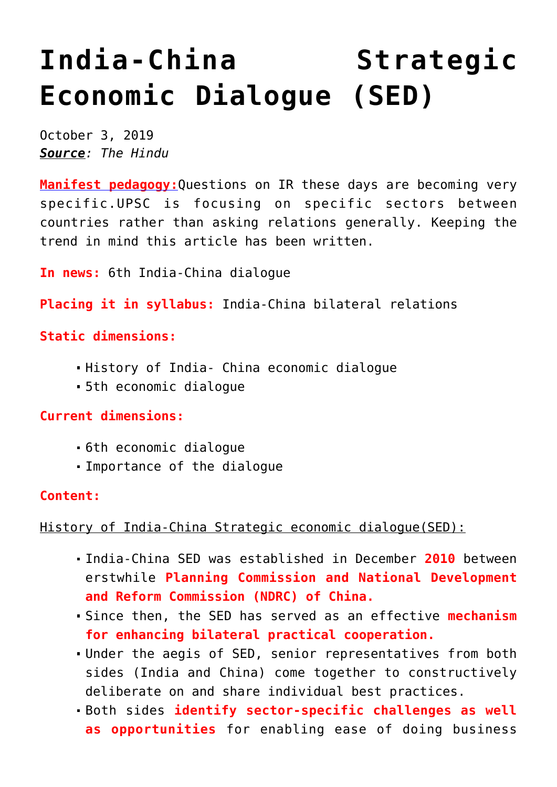# **[India-China Strategic](https://journalsofindia.com/india-china-strategic-economic-dialogue-sed/) [Economic Dialogue \(SED\)](https://journalsofindia.com/india-china-strategic-economic-dialogue-sed/)**

October 3, 2019 *Source: The Hindu*

**[Manifest pedagogy:](https://www.manifestias.com/2018/11/05/manifest-pedagogy-looking-beyond-the-issue/)**Questions on IR these days are becoming very specific.UPSC is focusing on specific sectors between countries rather than asking relations generally. Keeping the trend in mind this article has been written.

**In news:** 6th India-China dialogue

**Placing it in syllabus:** India-China bilateral relations

## **Static dimensions:**

- History of India- China economic dialogue
- 5th economic dialogue

**Current dimensions:**

- 6th economic dialogue
- Importance of the dialogue

### **Content:**

History of India-China Strategic economic dialogue(SED):

- India-China SED was established in December **2010** between erstwhile **Planning Commission and National Development and Reform Commission (NDRC) of China.**
- Since then, the SED has served as an effective **mechanism for enhancing bilateral practical cooperation.**
- Under the aegis of SED, senior representatives from both sides (India and China) come together to constructively deliberate on and share individual best practices.
- Both sides **identify sector-specific challenges as well as opportunities** for enabling ease of doing business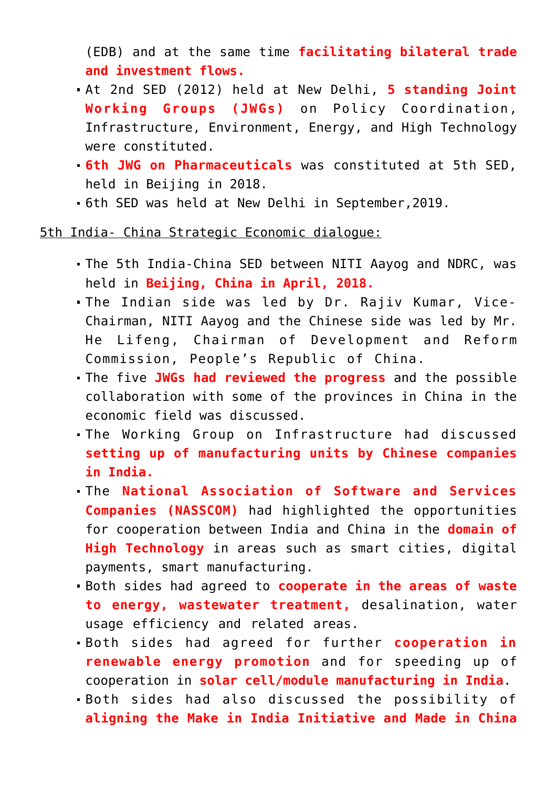(EDB) and at the same time **facilitating bilateral trade and investment flows.**

- At 2nd SED (2012) held at New Delhi, **5 standing Joint Working Groups (JWGs)** on Policy Coordination, Infrastructure, Environment, Energy, and High Technology were constituted.
- **6th JWG on Pharmaceuticals** was constituted at 5th SED, held in Beijing in 2018.
- 6th SED was held at New Delhi in September,2019.

5th India- China Strategic Economic dialogue:

- The 5th India-China SED between NITI Aayog and NDRC, was held in **Beijing, China in April, 2018.**
- The Indian side was led by Dr. Rajiv Kumar, Vice-Chairman, NITI Aayog and the Chinese side was led by Mr. He Lifeng, Chairman of Development and Reform Commission, People's Republic of China.
- The five **JWGs had reviewed the progress** and the possible collaboration with some of the provinces in China in the economic field was discussed.
- The Working Group on Infrastructure had discussed **setting up of manufacturing units by Chinese companies in India.**
- The **National Association of Software and Services Companies (NASSCOM)** had highlighted the opportunities for cooperation between India and China in the **domain of High Technology** in areas such as smart cities, digital payments, smart manufacturing.
- Both sides had agreed to **cooperate in the areas of waste to energy, wastewater treatment,** desalination, water usage efficiency and related areas.
- Both sides had agreed for further **cooperation in renewable energy promotion** and for speeding up of cooperation in **solar cell/module manufacturing in India**.
- Both sides had also discussed the possibility of **aligning the Make in India Initiative and Made in China**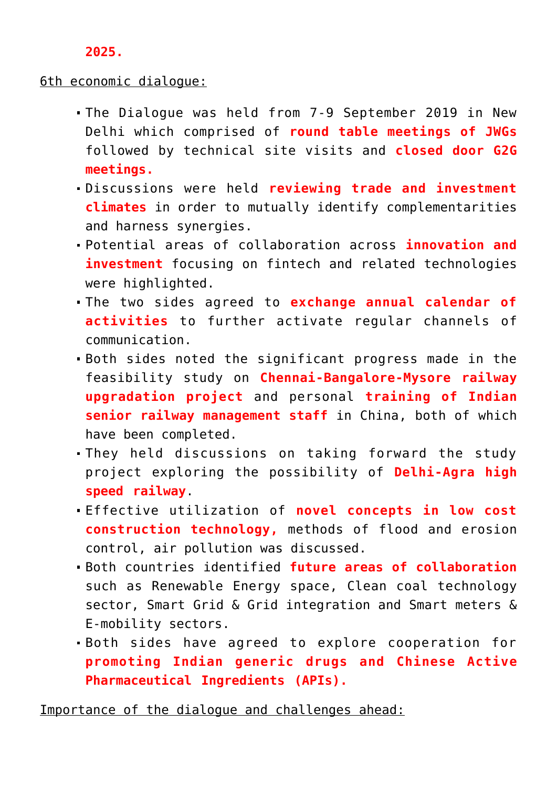#### **2025.**

#### 6th economic dialogue:

- The Dialogue was held from 7-9 September 2019 in New Delhi which comprised of **round table meetings of JWGs** followed by technical site visits and **closed door G2G meetings.**
- Discussions were held **reviewing trade and investment climates** in order to mutually identify complementarities and harness synergies.
- Potential areas of collaboration across **innovation and investment** focusing on fintech and related technologies were highlighted.
- The two sides agreed to **exchange annual calendar of activities** to further activate regular channels of communication.
- Both sides noted the significant progress made in the feasibility study on **Chennai-Bangalore-Mysore railway upgradation project** and personal **training of Indian senior railway management staff** in China, both of which have been completed.
- They held discussions on taking forward the study project exploring the possibility of **Delhi-Agra high speed railway**.
- Effective utilization of **novel concepts in low cost construction technology,** methods of flood and erosion control, air pollution was discussed.
- Both countries identified **future areas of collaboration** such as Renewable Energy space, Clean coal technology sector, Smart Grid & Grid integration and Smart meters & E-mobility sectors.
- Both sides have agreed to explore cooperation for **promoting Indian generic drugs and Chinese Active Pharmaceutical Ingredients (APIs).**

Importance of the dialogue and challenges ahead: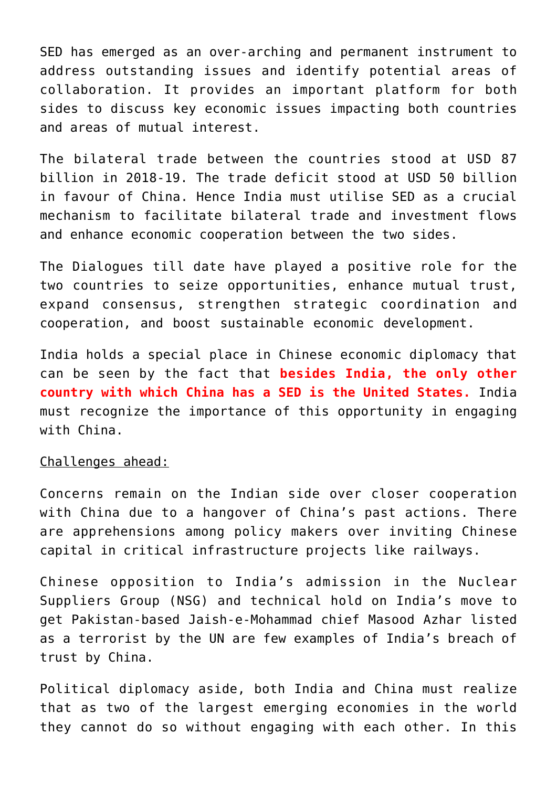SED has emerged as an over-arching and permanent instrument to address outstanding issues and identify potential areas of collaboration. It provides an important platform for both sides to discuss key economic issues impacting both countries and areas of mutual interest.

The bilateral trade between the countries stood at USD 87 billion in 2018-19. The trade deficit stood at USD 50 billion in favour of China. Hence India must utilise SED as a crucial mechanism to facilitate bilateral trade and investment flows and enhance economic cooperation between the two sides.

The Dialogues till date have played a positive role for the two countries to seize opportunities, enhance mutual trust, expand consensus, strengthen strategic coordination and cooperation, and boost sustainable economic development.

India holds a special place in Chinese economic diplomacy that can be seen by the fact that **besides India, the only other country with which China has a SED is the United States.** India must recognize the importance of this opportunity in engaging with China.

#### Challenges ahead:

Concerns remain on the Indian side over closer cooperation with China due to a hangover of China's past actions. There are apprehensions among policy makers over inviting Chinese capital in critical infrastructure projects like railways.

Chinese opposition to India's admission in the Nuclear Suppliers Group (NSG) and technical hold on India's move to get Pakistan-based Jaish-e-Mohammad chief Masood Azhar listed as a terrorist by the UN are few examples of India's breach of trust by China.

Political diplomacy aside, both India and China must realize that as two of the largest emerging economies in the world they cannot do so without engaging with each other. In this